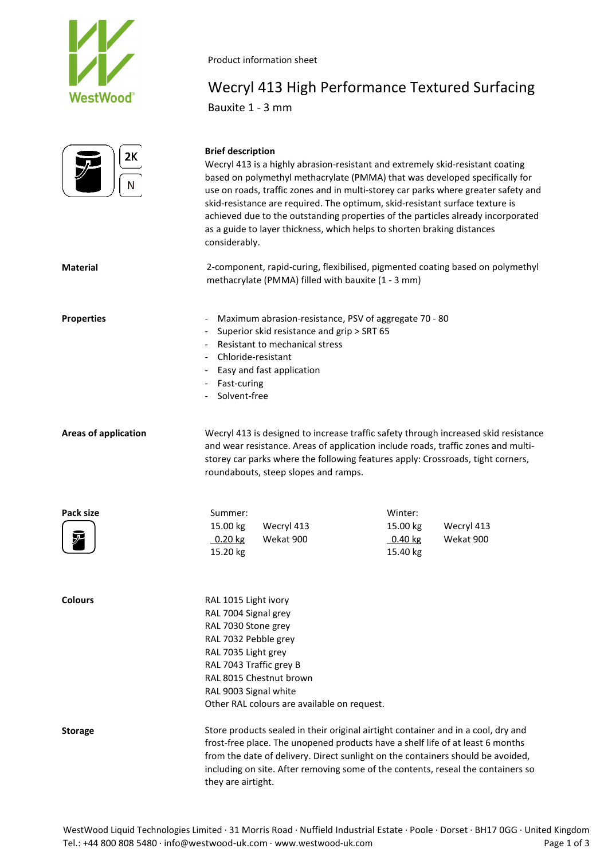

Product information sheet

# Wecryl 413 High Performance Textured Surfacing Bauxite 1 - 3 mm

| 2K |
|----|
|    |
| V  |

### **Brief description**

Wecryl 413 is a highly abrasion-resistant and extremely skid-resistant coating based on polymethyl methacrylate (PMMA) that was developed specifically for use on roads, traffic zones and in multi-storey car parks where greater safety and skid-resistance are required. The optimum, skid-resistant surface texture is achieved due to the outstanding properties of the particles already incorporated as a guide to layer thickness, which helps to shorten braking distances considerably.

**Material** 2-component, rapid-curing, flexibilised, pigmented coating based on polymethyl methacrylate (PMMA) filled with bauxite (1 - 3 mm)

**Properties Figure 20 - Maximum abrasion-resistance, PSV of aggregate 70 - 80** 

- Superior skid resistance and grip > SRT 65
- Resistant to mechanical stress
- Chloride-resistant
- Easy and fast application
- Fast-curing
- Solvent-free

**Areas of application** Wecryl 413 is designed to increase traffic safety through increased skid resistance and wear resistance. Areas of application include roads, traffic zones and multistorey car parks where the following features apply: Crossroads, tight corners, roundabouts, steep slopes and ramps.

| Pack size                                                           | Summer:  |            | Winter:           |            |
|---------------------------------------------------------------------|----------|------------|-------------------|------------|
|                                                                     | 15.00 kg | Wecryl 413 | 15.00 kg          | Wecryl 413 |
| $\left(\begin{matrix} \nabla \ \nabla \ \nabla \end{matrix}\right)$ | 0.20 kg  | Wekat 900  | $0.40 \text{ kg}$ | Wekat 900  |
|                                                                     | 15.20 kg |            | 15.40 kg          |            |
|                                                                     |          |            |                   |            |

| <b>Colours</b> | RAL 1015 Light ivory                                                              |
|----------------|-----------------------------------------------------------------------------------|
|                | RAL 7004 Signal grey                                                              |
|                | RAL 7030 Stone grey                                                               |
|                | RAL 7032 Pebble grev                                                              |
|                | RAL 7035 Light grey                                                               |
|                | RAL 7043 Traffic grey B                                                           |
|                | RAL 8015 Chestnut brown                                                           |
|                | RAL 9003 Signal white                                                             |
|                | Other RAL colours are available on request.                                       |
| <b>Storage</b> | Store products sealed in their original airtight container and in a cool, dry and |
|                | frost-free place. The unopened products have a shelf life of at least 6 months    |
|                | from the date of delivery. Direct sunlight on the containers should be avoided    |

of at least 6 months ers should be avoided, including on site. After removing some of the contents, reseal the containers so they are airtight.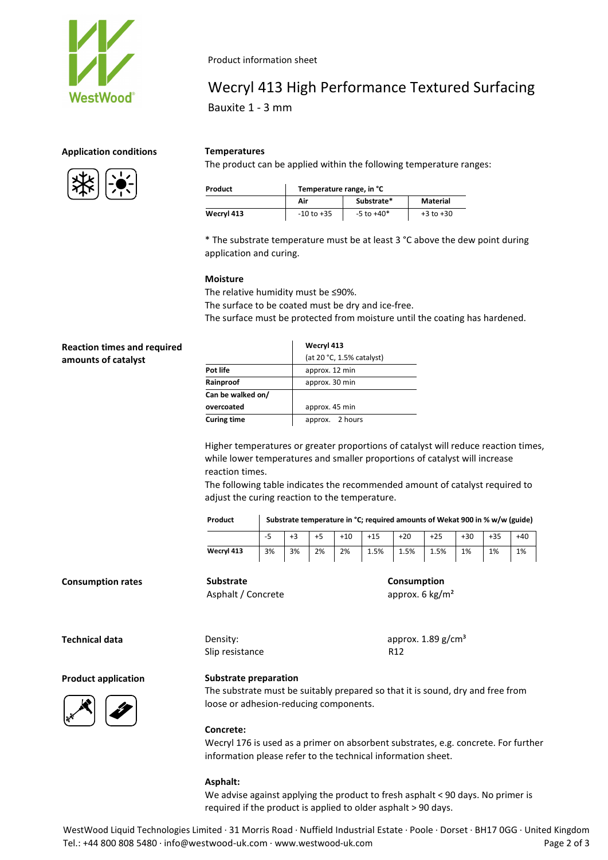

Product information sheet

## Wecryl 413 High Performance Textured Surfacing Bauxite 1 - 3 mm

## **Application conditions Temperatures**



The product can be applied within the following temperature ranges:

| Product    | Temperature range, in °C |                |               |  |  |
|------------|--------------------------|----------------|---------------|--|--|
|            | Air                      | Substrate*     | Material      |  |  |
| Wecryl 413 | $-10$ to $+35$           | $-5$ to $+40*$ | $+3$ to $+30$ |  |  |

\* The substrate temperature must be at least 3 °C above the dew point during application and curing.

### **Moisture**

The relative humidity must be ≤90%. The surface to be coated must be dry and ice-free. The surface must be protected from moisture until the coating has hardened.

| <b>Reaction times and required</b> |                    | Wecryl 413                |
|------------------------------------|--------------------|---------------------------|
| amounts of catalyst                |                    | (at 20 °C, 1.5% catalyst) |
|                                    | Pot life           | approx. 12 min            |
|                                    | Rainproof          | approx. 30 min            |
|                                    | Can be walked on/  |                           |
|                                    | overcoated         | approx. 45 min            |
|                                    | <b>Curing time</b> | 2 hours<br>approx.        |

Higher temperatures or greater proportions of catalyst will reduce reaction times, while lower temperatures and smaller proportions of catalyst will increase reaction times.

The following table indicates the recommended amount of catalyst required to adjust the curing reaction to the temperature.

| Product    | Substrate temperature in °C; required amounts of Wekat 900 in % w/w (guide) |    |    |       |       |       |       |       |       |       |
|------------|-----------------------------------------------------------------------------|----|----|-------|-------|-------|-------|-------|-------|-------|
|            | -5                                                                          |    |    | $+10$ | $+15$ | $+20$ | $+25$ | $+30$ | $+35$ | $+40$ |
| Wecryl 413 | 3%                                                                          | 3% | 2% | 2%    | 1.5%  | 1.5%  | 1.5%  | 1%    | 1%    | 1%    |

**Consumption rates Substrate**

Slip resistance R12

Asphalt / Concrete

**Technical data Density: Density: Construction Density: Construction Density: Construction Density: Construction Density: Construction Construction Density: Construction Construction Constru** 

**Consumption** approx. 6 kg/m²

**Product application**



## **Substrate preparation**

The substrate must be suitably prepared so that it is sound, dry and free from loose or adhesion-reducing components.

#### **Concrete:**

Wecryl 176 is used as a primer on absorbent substrates, e.g. concrete. For further information please refer to the technical information sheet.

#### **Asphalt:**

We advise against applying the product to fresh asphalt < 90 days. No primer is required if the product is applied to older asphalt > 90 days.

WestWood Liquid Technologies Limited · 31 Morris Road · Nuffield Industrial Estate · Poole · Dorset · BH17 0GG · United Kingdom Tel.: +44 800 808 5480 · info@westwood-uk.com · www.westwood-uk.com example are example as a Page 2 of 3